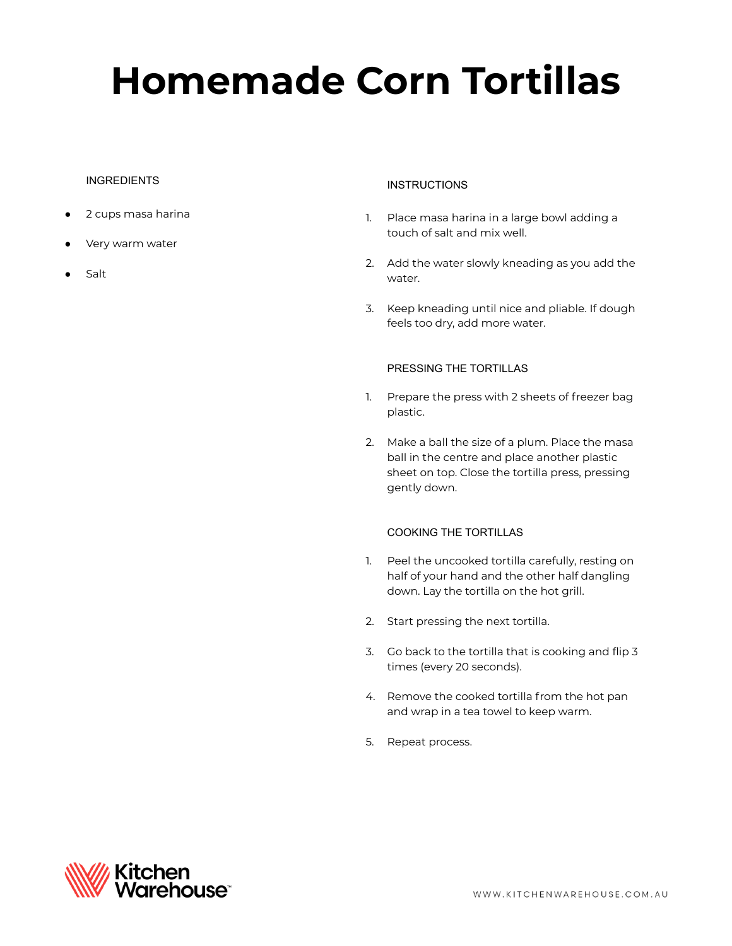# **Homemade Corn Tortillas**

# **INGREDIENTS**

- 2 cups masa harina
- Very warm water
- Salt

### **INSTRUCTIONS**

- 1. Place masa harina in a large bowl adding a touch of salt and mix well.
- 2. Add the water slowly kneading as you add the water.
- 3. Keep kneading until nice and pliable. If dough feels too dry, add more water.

## PRESSING THE TORTILLAS

- 1. Prepare the press with 2 sheets of freezer bag plastic.
- 2. Make a ball the size of a plum. Place the masa ball in the centre and place another plastic sheet on top. Close the tortilla press, pressing gently down.

## COOKING THE TORTILLAS

- 1. Peel the uncooked tortilla carefully, resting on half of your hand and the other half dangling down. Lay the tortilla on the hot grill.
- 2. Start pressing the next tortilla.
- 3. Go back to the tortilla that is cooking and flip 3 times (every 20 seconds).
- 4. Remove the cooked tortilla from the hot pan and wrap in a tea towel to keep warm.
- 5. Repeat process.